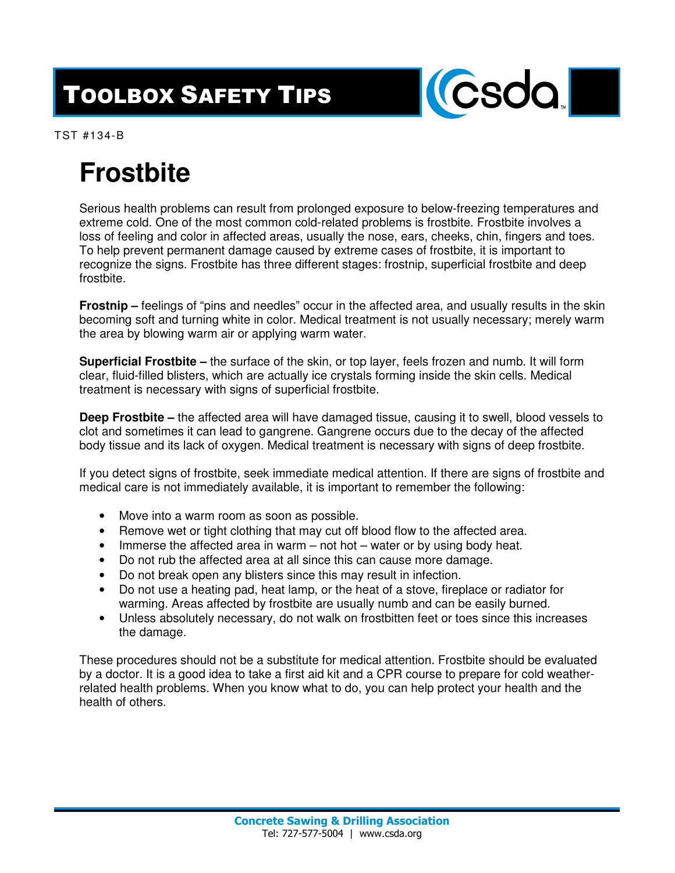## TOOLBOX SAFETY TIPS



TST #134-B

## **Frostbite**

Serious health problems can result from prolonged exposure to below-freezing temperatures and extreme cold. One of the most common cold-related problems is frostbite. Frostbite involves a loss of feeling and color in affected areas, usually the nose, ears, cheeks, chin, fingers and toes. To help prevent permanent damage caused by extreme cases of frostbite, it is important to recognize the signs. Frostbite has three different stages: frostnip, superficial frostbite and deep frostbite.

**Frostnip –** feelings of "pins and needles" occur in the affected area, and usually results in the skin becoming soft and turning white in color. Medical treatment is not usually necessary; merely warm the area by blowing warm air or applying warm water.

**Superficial Frostbite –** the surface of the skin, or top layer, feels frozen and numb. It will form clear, fluid-filled blisters, which are actually ice crystals forming inside the skin cells. Medical treatment is necessary with signs of superficial frostbite.

**Deep Frostbite –** the affected area will have damaged tissue, causing it to swell, blood vessels to clot and sometimes it can lead to gangrene. Gangrene occurs due to the decay of the affected body tissue and its lack of oxygen. Medical treatment is necessary with signs of deep frostbite.

If you detect signs of frostbite, seek immediate medical attention. If there are signs of frostbite and medical care is not immediately available, it is important to remember the following:

- Move into a warm room as soon as possible.
- Remove wet or tight clothing that may cut off blood flow to the affected area.
- Immerse the affected area in warm not hot water or by using body heat.
- Do not rub the affected area at all since this can cause more damage.
- Do not break open any blisters since this may result in infection.
- Do not use a heating pad, heat lamp, or the heat of a stove, fireplace or radiator for warming. Areas affected by frostbite are usually numb and can be easily burned.
- Unless absolutely necessary, do not walk on frostbitten feet or toes since this increases the damage.

These procedures should not be a substitute for medical attention. Frostbite should be evaluated by a doctor. It is a good idea to take a first aid kit and a CPR course to prepare for cold weatherrelated health problems. When you know what to do, you can help protect your health and the health of others.